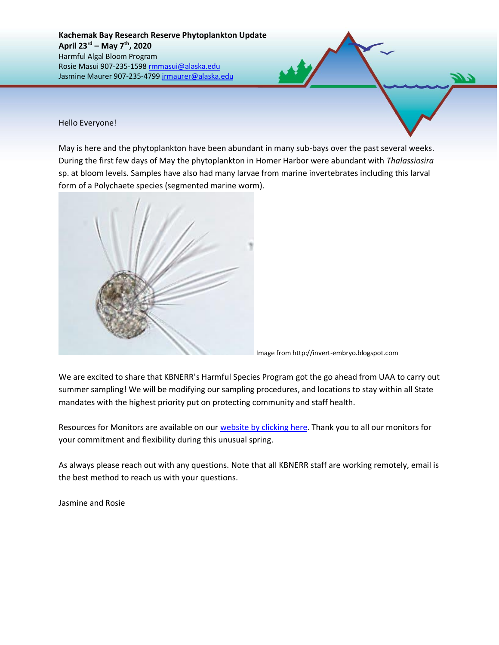Hello Everyone!

May is here and the phytoplankton have been abundant in many sub-bays over the past several weeks. During the first few days of May the phytoplankton in Homer Harbor were abundant with *Thalassiosira*  sp. at bloom levels. Samples have also had many larvae from marine invertebrates including this larval form of a Polychaete species (segmented marine worm).



Image from http://invert-embryo.blogspot.com

We are excited to share that KBNERR's Harmful Species Program got the go ahead from UAA to carry out summer sampling! We will be modifying our sampling procedures, and locations to stay within all State mandates with the highest priority put on protecting community and staff health.

Resources for Monitors are available on our [website by clicking here.](https://accs.uaa.alaska.edu/kbnerr/community-monitoring/community-monitor-training-resources/) Thank you to all our monitors for your commitment and flexibility during this unusual spring.

As always please reach out with any questions. Note that all KBNERR staff are working remotely, email is the best method to reach us with your questions.

Jasmine and Rosie